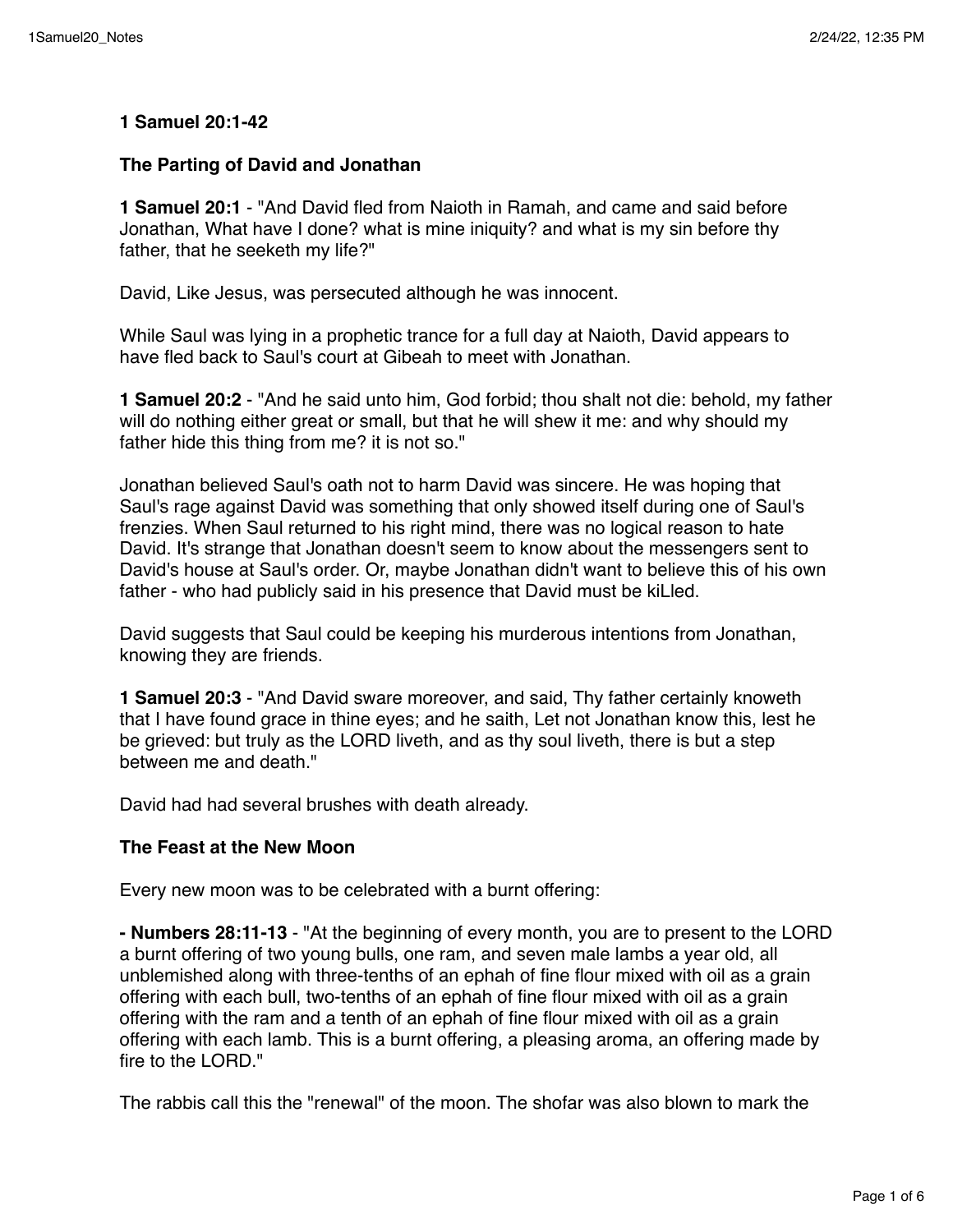## **1 Samuel 20:1-42**

### **The Parting of David and Jonathan**

**1 Samuel 20:1** - "And David fled from Naioth in Ramah, and came and said before Jonathan, What have I done? what is mine iniquity? and what is my sin before thy father, that he seeketh my life?"

David, Like Jesus, was persecuted although he was innocent.

While Saul was lying in a prophetic trance for a full day at Naioth, David appears to have fled back to Saul's court at Gibeah to meet with Jonathan.

**1 Samuel 20:2** - "And he said unto him, God forbid; thou shalt not die: behold, my father will do nothing either great or small, but that he will shew it me: and why should my father hide this thing from me? it is not so."

Jonathan believed Saul's oath not to harm David was sincere. He was hoping that Saul's rage against David was something that only showed itself during one of Saul's frenzies. When Saul returned to his right mind, there was no logical reason to hate David. It's strange that Jonathan doesn't seem to know about the messengers sent to David's house at Saul's order. Or, maybe Jonathan didn't want to believe this of his own father - who had publicly said in his presence that David must be kiLled.

David suggests that Saul could be keeping his murderous intentions from Jonathan, knowing they are friends.

**1 Samuel 20:3** - "And David sware moreover, and said, Thy father certainly knoweth that I have found grace in thine eyes; and he saith, Let not Jonathan know this, lest he be grieved: but truly as the LORD liveth, and as thy soul liveth, there is but a step between me and death."

David had had several brushes with death already.

## **The Feast at the New Moon**

Every new moon was to be celebrated with a burnt offering:

**- Numbers 28:11-13** - "At the beginning of every month, you are to present to the LORD a burnt offering of two young bulls, one ram, and seven male lambs a year old, all unblemished along with three-tenths of an ephah of fine flour mixed with oil as a grain offering with each bull, two-tenths of an ephah of fine flour mixed with oil as a grain offering with the ram and a tenth of an ephah of fine flour mixed with oil as a grain offering with each lamb. This is a burnt offering, a pleasing aroma, an offering made by fire to the LORD."

The rabbis call this the "renewal" of the moon. The shofar was also blown to mark the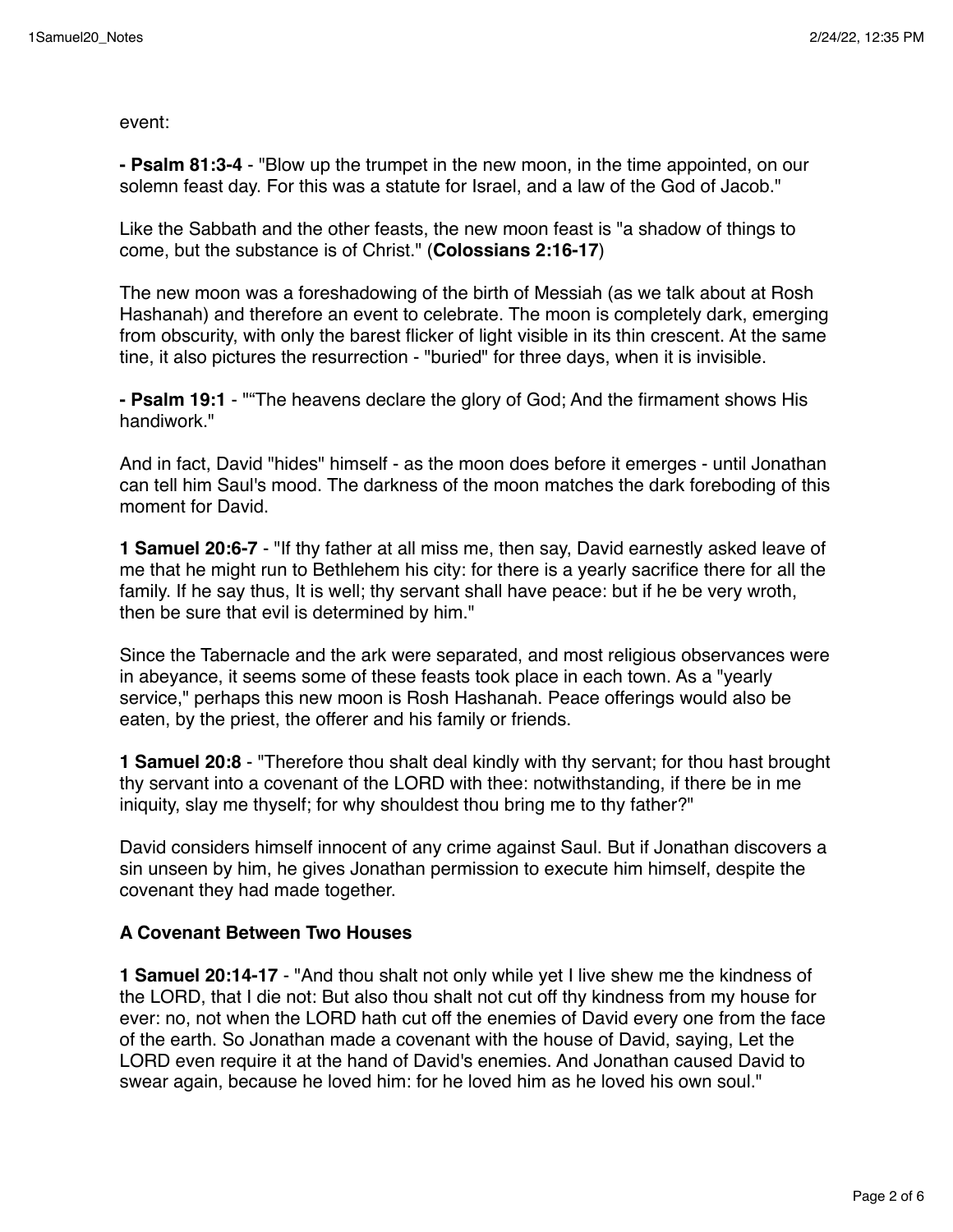event:

**- Psalm 81:3-4** - "Blow up the trumpet in the new moon, in the time appointed, on our solemn feast day. For this was a statute for Israel, and a law of the God of Jacob."

Like the Sabbath and the other feasts, the new moon feast is "a shadow of things to come, but the substance is of Christ." (**Colossians 2:16-17**)

The new moon was a foreshadowing of the birth of Messiah (as we talk about at Rosh Hashanah) and therefore an event to celebrate. The moon is completely dark, emerging from obscurity, with only the barest flicker of light visible in its thin crescent. At the same tine, it also pictures the resurrection - "buried" for three days, when it is invisible.

**- Psalm 19:1** - ""The heavens declare the glory of God; And the firmament shows His handiwork."

And in fact, David "hides" himself - as the moon does before it emerges - until Jonathan can tell him Saul's mood. The darkness of the moon matches the dark foreboding of this moment for David.

**1 Samuel 20:6-7** - "If thy father at all miss me, then say, David earnestly asked leave of me that he might run to Bethlehem his city: for there is a yearly sacrifice there for all the family. If he say thus, It is well; thy servant shall have peace: but if he be very wroth, then be sure that evil is determined by him."

Since the Tabernacle and the ark were separated, and most religious observances were in abeyance, it seems some of these feasts took place in each town. As a "yearly service," perhaps this new moon is Rosh Hashanah. Peace offerings would also be eaten, by the priest, the offerer and his family or friends.

**1 Samuel 20:8** - "Therefore thou shalt deal kindly with thy servant; for thou hast brought thy servant into a covenant of the LORD with thee: notwithstanding, if there be in me iniquity, slay me thyself; for why shouldest thou bring me to thy father?"

David considers himself innocent of any crime against Saul. But if Jonathan discovers a sin unseen by him, he gives Jonathan permission to execute him himself, despite the covenant they had made together.

# **A Covenant Between Two Houses**

**1 Samuel 20:14-17** - "And thou shalt not only while yet I live shew me the kindness of the LORD, that I die not: But also thou shalt not cut off thy kindness from my house for ever: no, not when the LORD hath cut off the enemies of David every one from the face of the earth. So Jonathan made a covenant with the house of David, saying, Let the LORD even require it at the hand of David's enemies. And Jonathan caused David to swear again, because he loved him: for he loved him as he loved his own soul."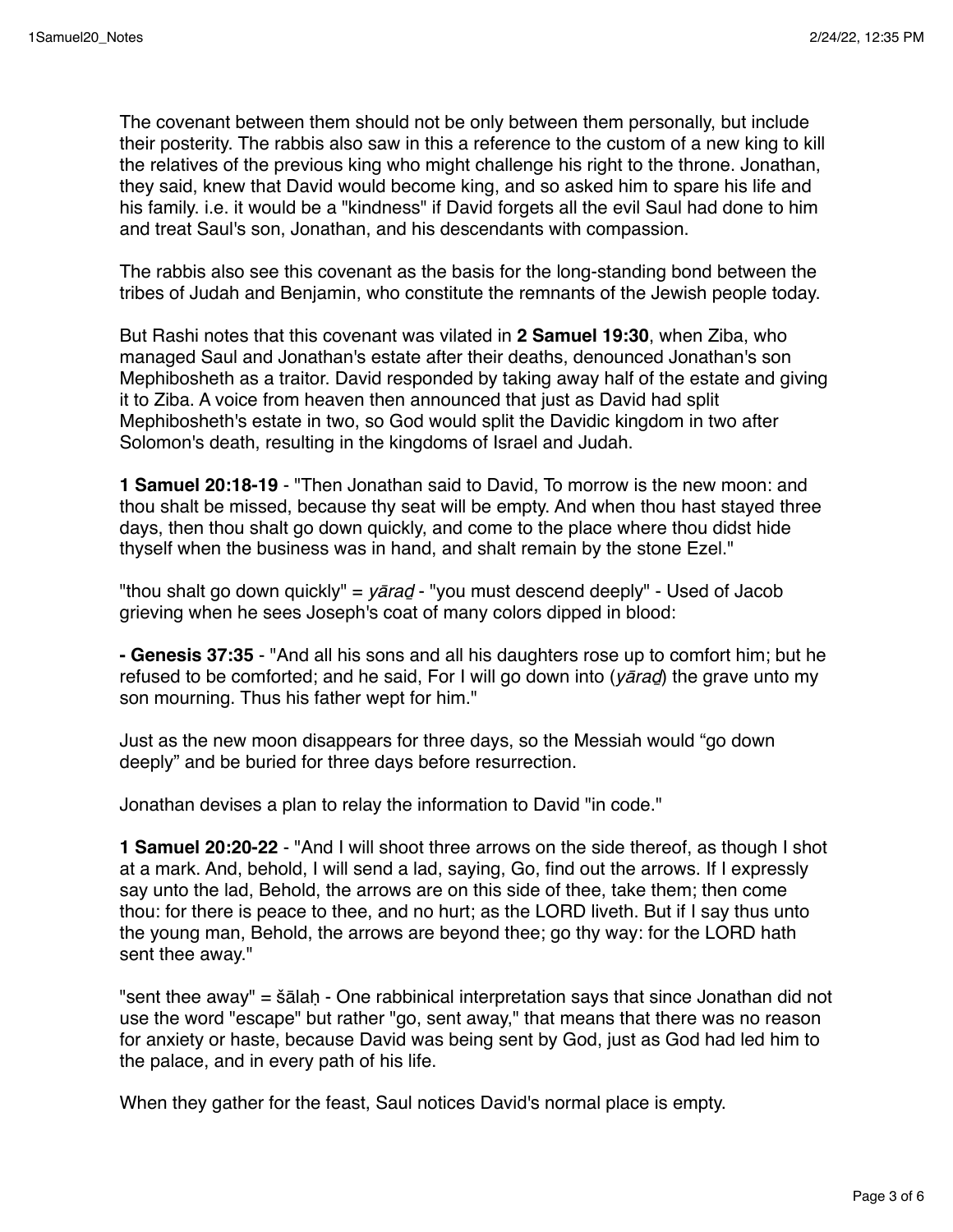The covenant between them should not be only between them personally, but include their posterity. The rabbis also saw in this a reference to the custom of a new king to kill the relatives of the previous king who might challenge his right to the throne. Jonathan, they said, knew that David would become king, and so asked him to spare his life and his family. i.e. it would be a "kindness" if David forgets all the evil Saul had done to him and treat Saul's son, Jonathan, and his descendants with compassion.

The rabbis also see this covenant as the basis for the long-standing bond between the tribes of Judah and Benjamin, who constitute the remnants of the Jewish people today.

But Rashi notes that this covenant was vilated in **2 Samuel 19:30**, when Ziba, who managed Saul and Jonathan's estate after their deaths, denounced Jonathan's son Mephibosheth as a traitor. David responded by taking away half of the estate and giving it to Ziba. A voice from heaven then announced that just as David had split Mephibosheth's estate in two, so God would split the Davidic kingdom in two after Solomon's death, resulting in the kingdoms of Israel and Judah.

**1 Samuel 20:18-19** - "Then Jonathan said to David, To morrow is the new moon: and thou shalt be missed, because thy seat will be empty. And when thou hast stayed three days, then thou shalt go down quickly, and come to the place where thou didst hide thyself when the business was in hand, and shalt remain by the stone Ezel."

"thou shalt go down quickly" = *y*ā*ra*ḏ - "you must descend deeply" - Used of Jacob grieving when he sees Joseph's coat of many colors dipped in blood:

**- Genesis 37:35** - "And all his sons and all his daughters rose up to comfort him; but he refused to be comforted; and he said, For I will go down into (*y*ā*ra*ḏ) the grave unto my son mourning. Thus his father wept for him."

Just as the new moon disappears for three days, so the Messiah would "go down deeply" and be buried for three days before resurrection.

Jonathan devises a plan to relay the information to David "in code."

**1 Samuel 20:20-22** - "And I will shoot three arrows on the side thereof, as though I shot at a mark. And, behold, I will send a lad, saying, Go, find out the arrows. If I expressly say unto the lad, Behold, the arrows are on this side of thee, take them; then come thou: for there is peace to thee, and no hurt; as the LORD liveth. But if I say thus unto the young man, Behold, the arrows are beyond thee; go thy way: for the LORD hath sent thee away."

"sent thee away" = šālaḥ - One rabbinical interpretation says that since Jonathan did not use the word "escape" but rather "go, sent away," that means that there was no reason for anxiety or haste, because David was being sent by God, just as God had led him to the palace, and in every path of his life.

When they gather for the feast, Saul notices David's normal place is empty.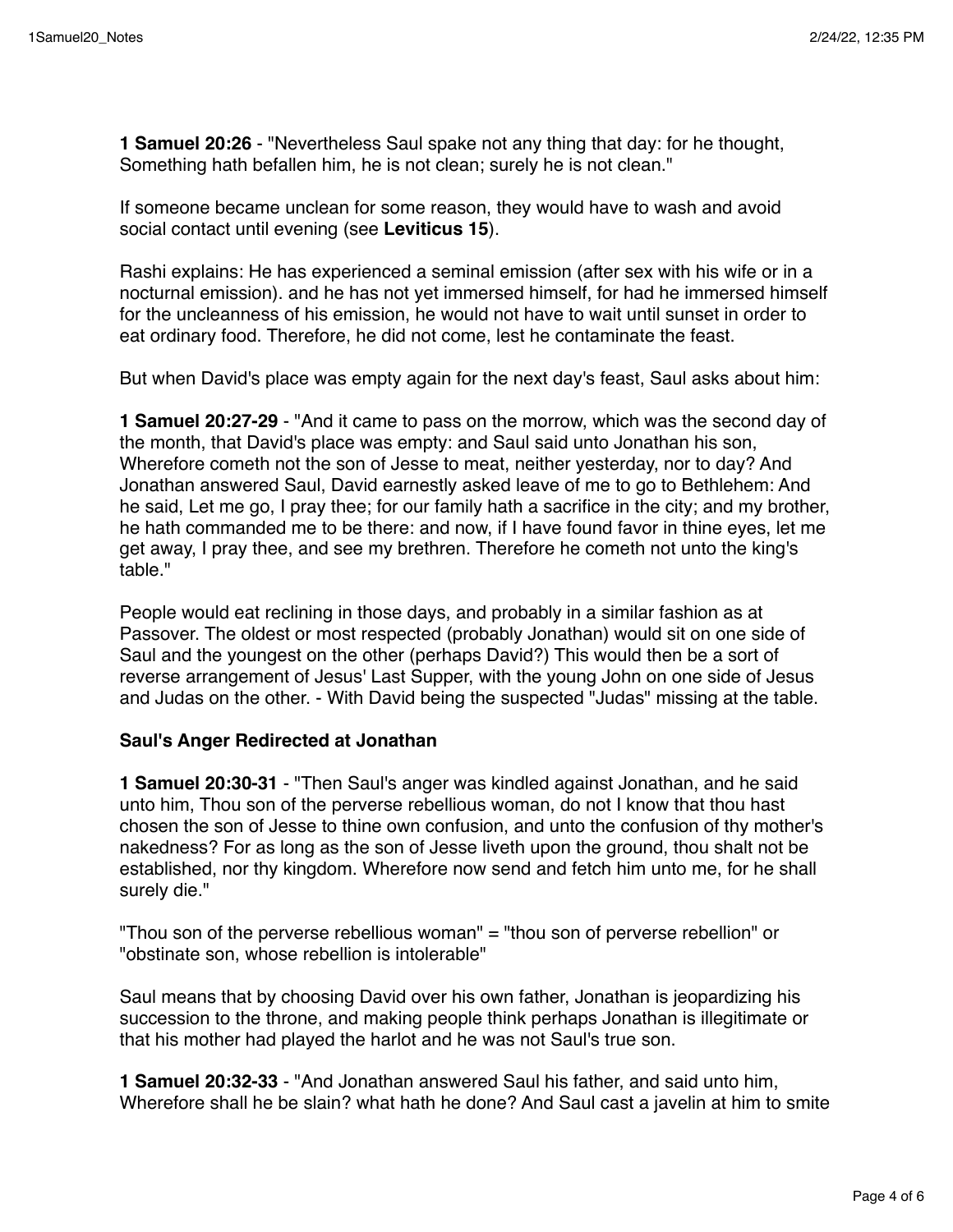**1 Samuel 20:26** - "Nevertheless Saul spake not any thing that day: for he thought, Something hath befallen him, he is not clean; surely he is not clean."

If someone became unclean for some reason, they would have to wash and avoid social contact until evening (see **Leviticus 15**).

Rashi explains: He has experienced a seminal emission (after sex with his wife or in a nocturnal emission). and he has not yet immersed himself, for had he immersed himself for the uncleanness of his emission, he would not have to wait until sunset in order to eat ordinary food. Therefore, he did not come, lest he contaminate the feast.

But when David's place was empty again for the next day's feast, Saul asks about him:

**1 Samuel 20:27-29** - "And it came to pass on the morrow, which was the second day of the month, that David's place was empty: and Saul said unto Jonathan his son, Wherefore cometh not the son of Jesse to meat, neither yesterday, nor to day? And Jonathan answered Saul, David earnestly asked leave of me to go to Bethlehem: And he said, Let me go, I pray thee; for our family hath a sacrifice in the city; and my brother, he hath commanded me to be there: and now, if I have found favor in thine eyes, let me get away, I pray thee, and see my brethren. Therefore he cometh not unto the king's table."

People would eat reclining in those days, and probably in a similar fashion as at Passover. The oldest or most respected (probably Jonathan) would sit on one side of Saul and the youngest on the other (perhaps David?) This would then be a sort of reverse arrangement of Jesus' Last Supper, with the young John on one side of Jesus and Judas on the other. - With David being the suspected "Judas" missing at the table.

#### **Saul's Anger Redirected at Jonathan**

**1 Samuel 20:30-31** - "Then Saul's anger was kindled against Jonathan, and he said unto him, Thou son of the perverse rebellious woman, do not I know that thou hast chosen the son of Jesse to thine own confusion, and unto the confusion of thy mother's nakedness? For as long as the son of Jesse liveth upon the ground, thou shalt not be established, nor thy kingdom. Wherefore now send and fetch him unto me, for he shall surely die."

"Thou son of the perverse rebellious woman" = "thou son of perverse rebellion" or "obstinate son, whose rebellion is intolerable"

Saul means that by choosing David over his own father, Jonathan is jeopardizing his succession to the throne, and making people think perhaps Jonathan is illegitimate or that his mother had played the harlot and he was not Saul's true son.

**1 Samuel 20:32-33** - "And Jonathan answered Saul his father, and said unto him, Wherefore shall he be slain? what hath he done? And Saul cast a javelin at him to smite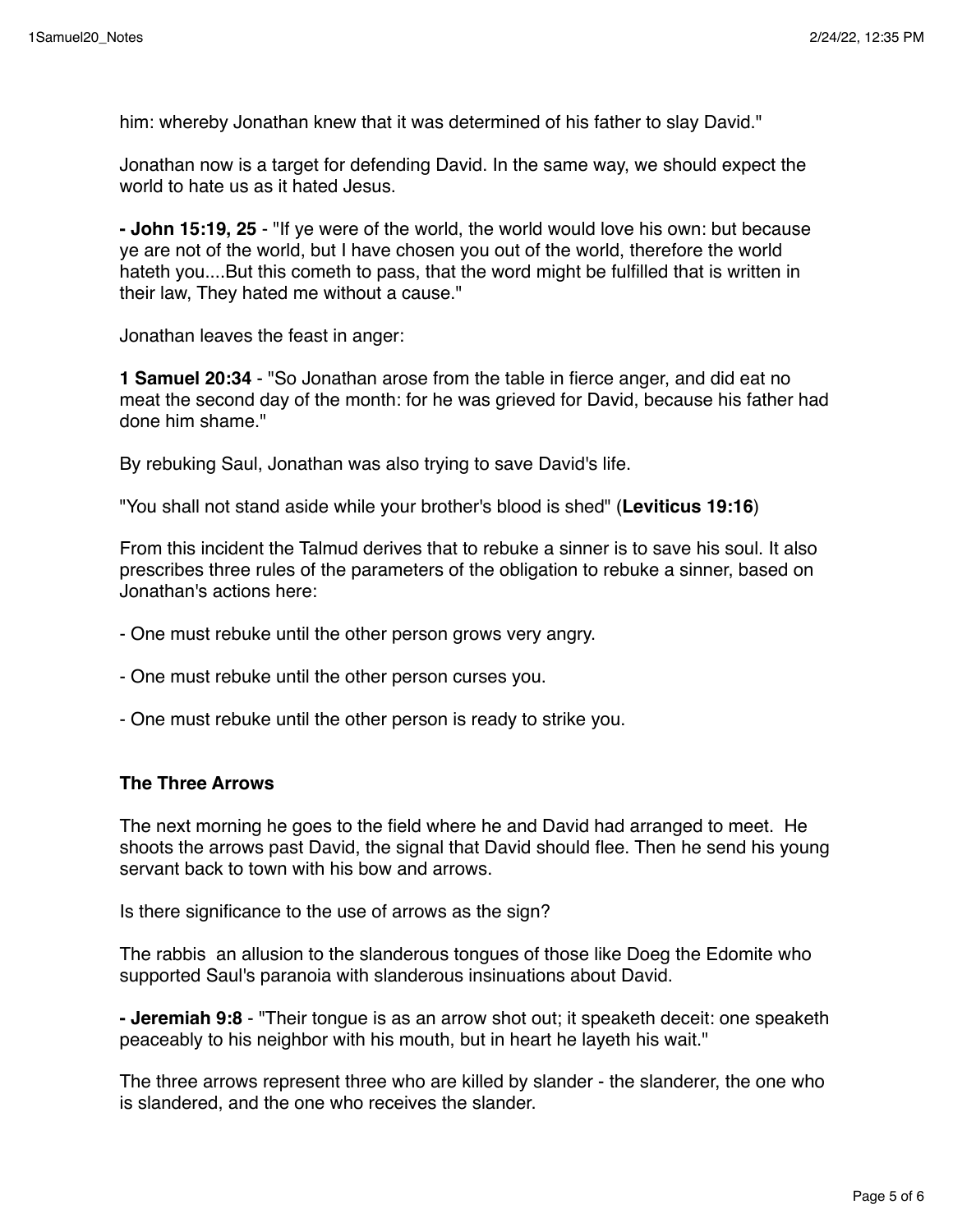him: whereby Jonathan knew that it was determined of his father to slay David."

Jonathan now is a target for defending David. In the same way, we should expect the world to hate us as it hated Jesus.

**- John 15:19, 25** - "If ye were of the world, the world would love his own: but because ye are not of the world, but I have chosen you out of the world, therefore the world hateth you....But this cometh to pass, that the word might be fulfilled that is written in their law, They hated me without a cause."

Jonathan leaves the feast in anger:

**1 Samuel 20:34** - "So Jonathan arose from the table in fierce anger, and did eat no meat the second day of the month: for he was grieved for David, because his father had done him shame."

By rebuking Saul, Jonathan was also trying to save David's life.

"You shall not stand aside while your brother's blood is shed" (**Leviticus 19:16**)

From this incident the Talmud derives that to rebuke a sinner is to save his soul. It also prescribes three rules of the parameters of the obligation to rebuke a sinner, based on Jonathan's actions here:

- One must rebuke until the other person grows very angry.
- One must rebuke until the other person curses you.
- One must rebuke until the other person is ready to strike you.

## **The Three Arrows**

The next morning he goes to the field where he and David had arranged to meet. He shoots the arrows past David, the signal that David should flee. Then he send his young servant back to town with his bow and arrows.

Is there significance to the use of arrows as the sign?

The rabbis an allusion to the slanderous tongues of those like Doeg the Edomite who supported Saul's paranoia with slanderous insinuations about David.

**- Jeremiah 9:8** - "Their tongue is as an arrow shot out; it speaketh deceit: one speaketh peaceably to his neighbor with his mouth, but in heart he layeth his wait."

The three arrows represent three who are killed by slander - the slanderer, the one who is slandered, and the one who receives the slander.